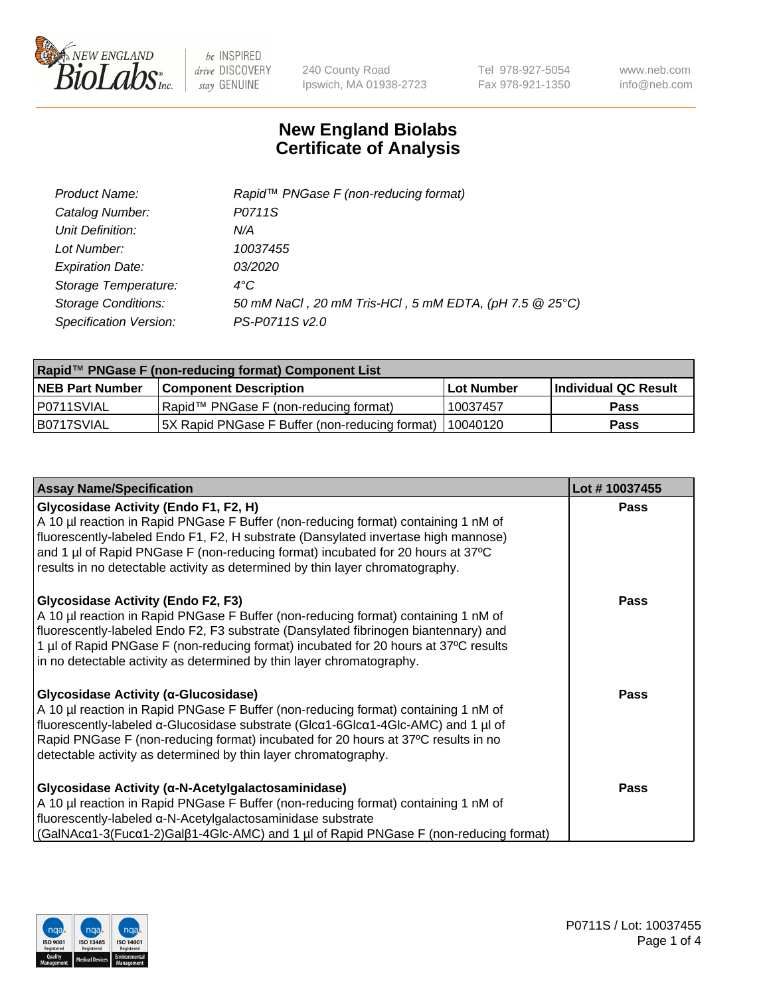

240 County Road Ipswich, MA 01938-2723 Tel 978-927-5054 Fax 978-921-1350 www.neb.com info@neb.com

## **New England Biolabs Certificate of Analysis**

| Product Name:              | Rapid™ PNGase F (non-reducing format)                  |
|----------------------------|--------------------------------------------------------|
| Catalog Number:            | P0711S                                                 |
| Unit Definition:           | N/A                                                    |
| Lot Number:                | 10037455                                               |
| <b>Expiration Date:</b>    | <i>03/2020</i>                                         |
| Storage Temperature:       | $4^{\circ}$ C                                          |
| <b>Storage Conditions:</b> | 50 mM NaCl, 20 mM Tris-HCl, 5 mM EDTA, (pH 7.5 @ 25°C) |
| Specification Version:     | PS-P0711S v2.0                                         |

| Rapid™ PNGase F (non-reducing format) Component List |                                                 |            |                      |  |
|------------------------------------------------------|-------------------------------------------------|------------|----------------------|--|
| <b>NEB Part Number</b>                               | <b>Component Description</b>                    | Lot Number | Individual QC Result |  |
| P0711SVIAL                                           | Rapid™ PNGase F (non-reducing format)           | 10037457   | <b>Pass</b>          |  |
| B0717SVIAL                                           | [5X Rapid PNGase F Buffer (non-reducing format) | 110040120  | <b>Pass</b>          |  |

| <b>Assay Name/Specification</b>                                                                                                                                                                                                                                                                                                                                                              | Lot #10037455 |
|----------------------------------------------------------------------------------------------------------------------------------------------------------------------------------------------------------------------------------------------------------------------------------------------------------------------------------------------------------------------------------------------|---------------|
| <b>Glycosidase Activity (Endo F1, F2, H)</b><br>A 10 µl reaction in Rapid PNGase F Buffer (non-reducing format) containing 1 nM of<br>fluorescently-labeled Endo F1, F2, H substrate (Dansylated invertase high mannose)<br>and 1 µl of Rapid PNGase F (non-reducing format) incubated for 20 hours at 37°C<br>results in no detectable activity as determined by thin layer chromatography. | <b>Pass</b>   |
| <b>Glycosidase Activity (Endo F2, F3)</b><br>A 10 µl reaction in Rapid PNGase F Buffer (non-reducing format) containing 1 nM of<br>fluorescently-labeled Endo F2, F3 substrate (Dansylated fibrinogen biantennary) and<br>1 µl of Rapid PNGase F (non-reducing format) incubated for 20 hours at 37°C results<br>in no detectable activity as determined by thin layer chromatography.       | Pass          |
| <b>Glycosidase Activity (α-Glucosidase)</b><br>A 10 µl reaction in Rapid PNGase F Buffer (non-reducing format) containing 1 nM of<br>fluorescently-labeled α-Glucosidase substrate (Glcα1-6Glcα1-4Glc-AMC) and 1 µl of<br>Rapid PNGase F (non-reducing format) incubated for 20 hours at 37°C results in no<br>detectable activity as determined by thin layer chromatography.               | <b>Pass</b>   |
| <b>Glycosidase Activity (α-N-Acetylgalactosaminidase)</b><br>A 10 µl reaction in Rapid PNGase F Buffer (non-reducing format) containing 1 nM of<br>fluorescently-labeled α-N-Acetylgalactosaminidase substrate<br>(GaINAcα1-3(Fucα1-2)Galβ1-4Glc-AMC) and 1 µl of Rapid PNGase F (non-reducing format)                                                                                       | Pass          |

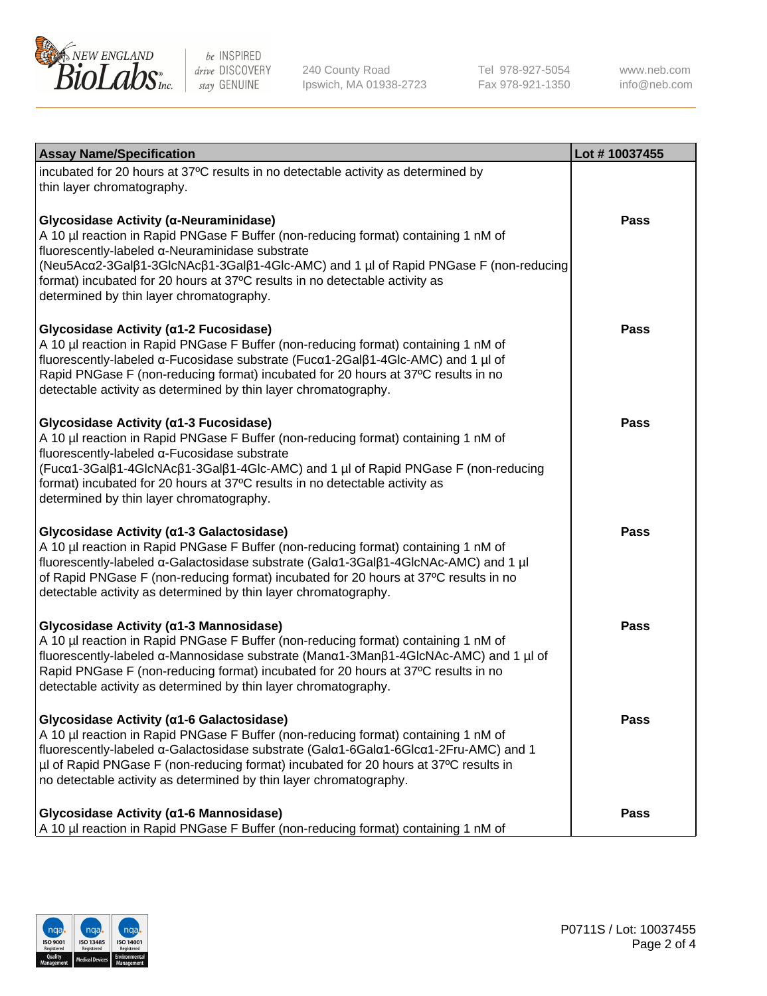

240 County Road Ipswich, MA 01938-2723 Tel 978-927-5054 Fax 978-921-1350

www.neb.com info@neb.com

| <b>Assay Name/Specification</b>                                                                                                                                                                                                                                                                                                                                                                    | Lot #10037455 |
|----------------------------------------------------------------------------------------------------------------------------------------------------------------------------------------------------------------------------------------------------------------------------------------------------------------------------------------------------------------------------------------------------|---------------|
| incubated for 20 hours at 37°C results in no detectable activity as determined by<br>thin layer chromatography.                                                                                                                                                                                                                                                                                    |               |
| Glycosidase Activity (α-Neuraminidase)<br>A 10 µl reaction in Rapid PNGase F Buffer (non-reducing format) containing 1 nM of<br>fluorescently-labeled α-Neuraminidase substrate<br>(Neu5Acα2-3Galβ1-3GlcNAcβ1-3Galβ1-4Glc-AMC) and 1 µl of Rapid PNGase F (non-reducing<br>format) incubated for 20 hours at 37°C results in no detectable activity as<br>determined by thin layer chromatography. | Pass          |
| Glycosidase Activity (α1-2 Fucosidase)<br>A 10 µl reaction in Rapid PNGase F Buffer (non-reducing format) containing 1 nM of<br>fluorescently-labeled α-Fucosidase substrate (Fucα1-2Galβ1-4Glc-AMC) and 1 µl of<br>Rapid PNGase F (non-reducing format) incubated for 20 hours at 37°C results in no<br>detectable activity as determined by thin layer chromatography.                           | Pass          |
| Glycosidase Activity (α1-3 Fucosidase)<br>A 10 µl reaction in Rapid PNGase F Buffer (non-reducing format) containing 1 nM of<br>fluorescently-labeled α-Fucosidase substrate<br>(Fucα1-3Galβ1-4GlcNAcβ1-3Galβ1-4Glc-AMC) and 1 µl of Rapid PNGase F (non-reducing<br>format) incubated for 20 hours at 37°C results in no detectable activity as<br>determined by thin layer chromatography.       | Pass          |
| Glycosidase Activity (α1-3 Galactosidase)<br>A 10 µl reaction in Rapid PNGase F Buffer (non-reducing format) containing 1 nM of<br>fluorescently-labeled α-Galactosidase substrate (Galα1-3Galβ1-4GlcNAc-AMC) and 1 µl<br>of Rapid PNGase F (non-reducing format) incubated for 20 hours at 37°C results in no<br>detectable activity as determined by thin layer chromatography.                  | Pass          |
| Glycosidase Activity (α1-3 Mannosidase)<br>A 10 µl reaction in Rapid PNGase F Buffer (non-reducing format) containing 1 nM of<br>fluorescently-labeled α-Mannosidase substrate (Manα1-3Manβ1-4GlcNAc-AMC) and 1 µl of<br>Rapid PNGase F (non-reducing format) incubated for 20 hours at 37°C results in no<br>detectable activity as determined by thin layer chromatography.                      | <b>Pass</b>   |
| Glycosidase Activity (α1-6 Galactosidase)<br>A 10 µl reaction in Rapid PNGase F Buffer (non-reducing format) containing 1 nM of<br>fluorescently-labeled α-Galactosidase substrate (Galα1-6Galα1-6Glcα1-2Fru-AMC) and 1<br>µl of Rapid PNGase F (non-reducing format) incubated for 20 hours at 37°C results in<br>no detectable activity as determined by thin layer chromatography.              | Pass          |
| Glycosidase Activity (a1-6 Mannosidase)<br>A 10 µl reaction in Rapid PNGase F Buffer (non-reducing format) containing 1 nM of                                                                                                                                                                                                                                                                      | <b>Pass</b>   |

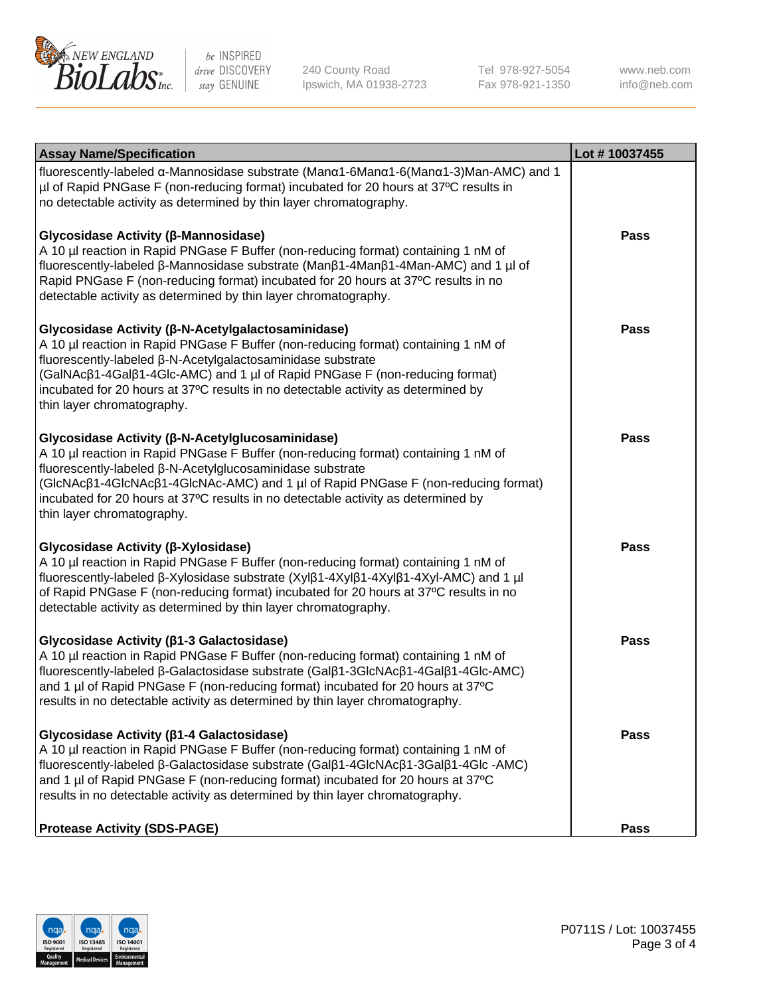

240 County Road Ipswich, MA 01938-2723 Tel 978-927-5054 Fax 978-921-1350 www.neb.com info@neb.com

| <b>Assay Name/Specification</b>                                                                                                                                                                                                                                                                                                                                                                             | Lot #10037455 |
|-------------------------------------------------------------------------------------------------------------------------------------------------------------------------------------------------------------------------------------------------------------------------------------------------------------------------------------------------------------------------------------------------------------|---------------|
| fluorescently-labeled α-Mannosidase substrate (Μanα1-6Μanα1-6(Μanα1-3)Man-AMC) and 1<br>µl of Rapid PNGase F (non-reducing format) incubated for 20 hours at 37°C results in<br>no detectable activity as determined by thin layer chromatography.                                                                                                                                                          |               |
| Glycosidase Activity (β-Mannosidase)<br>A 10 µl reaction in Rapid PNGase F Buffer (non-reducing format) containing 1 nM of<br>fluorescently-labeled β-Mannosidase substrate (Manβ1-4Manβ1-4Man-AMC) and 1 µl of<br>Rapid PNGase F (non-reducing format) incubated for 20 hours at 37°C results in no<br>detectable activity as determined by thin layer chromatography.                                     | <b>Pass</b>   |
| Glycosidase Activity (β-N-Acetylgalactosaminidase)<br>A 10 µl reaction in Rapid PNGase F Buffer (non-reducing format) containing 1 nM of<br>fluorescently-labeled β-N-Acetylgalactosaminidase substrate<br>(GalNAcß1-4Galß1-4Glc-AMC) and 1 µl of Rapid PNGase F (non-reducing format)<br>incubated for 20 hours at 37°C results in no detectable activity as determined by<br>thin layer chromatography.   | <b>Pass</b>   |
| Glycosidase Activity (β-N-Acetylglucosaminidase)<br>A 10 µl reaction in Rapid PNGase F Buffer (non-reducing format) containing 1 nM of<br>fluorescently-labeled β-N-Acetylglucosaminidase substrate<br>(GIcNAcβ1-4GIcNAcβ1-4GIcNAc-AMC) and 1 µl of Rapid PNGase F (non-reducing format)<br>incubated for 20 hours at 37°C results in no detectable activity as determined by<br>thin layer chromatography. | <b>Pass</b>   |
| Glycosidase Activity (β-Xylosidase)<br>A 10 µl reaction in Rapid PNGase F Buffer (non-reducing format) containing 1 nM of<br>fluorescently-labeled β-Xylosidase substrate (Xylβ1-4Xylβ1-4Xylβ1-4Xyl-AMC) and 1 µl<br>of Rapid PNGase F (non-reducing format) incubated for 20 hours at 37°C results in no<br>detectable activity as determined by thin layer chromatography.                                | <b>Pass</b>   |
| Glycosidase Activity (β1-3 Galactosidase)<br>A 10 µl reaction in Rapid PNGase F Buffer (non-reducing format) containing 1 nM of<br>fluorescently-labeled β-Galactosidase substrate (Galβ1-3GlcNAcβ1-4Galβ1-4Glc-AMC)<br>and 1 µl of Rapid PNGase F (non-reducing format) incubated for 20 hours at 37°C<br>results in no detectable activity as determined by thin layer chromatography.                    | <b>Pass</b>   |
| Glycosidase Activity ( $\beta$ 1-4 Galactosidase)<br>A 10 µl reaction in Rapid PNGase F Buffer (non-reducing format) containing 1 nM of<br>fluorescently-labeled β-Galactosidase substrate (Galβ1-4GlcNAcβ1-3Galβ1-4Glc -AMC)<br>and 1 µl of Rapid PNGase F (non-reducing format) incubated for 20 hours at 37°C<br>results in no detectable activity as determined by thin layer chromatography.           | <b>Pass</b>   |
| <b>Protease Activity (SDS-PAGE)</b>                                                                                                                                                                                                                                                                                                                                                                         | Pass          |